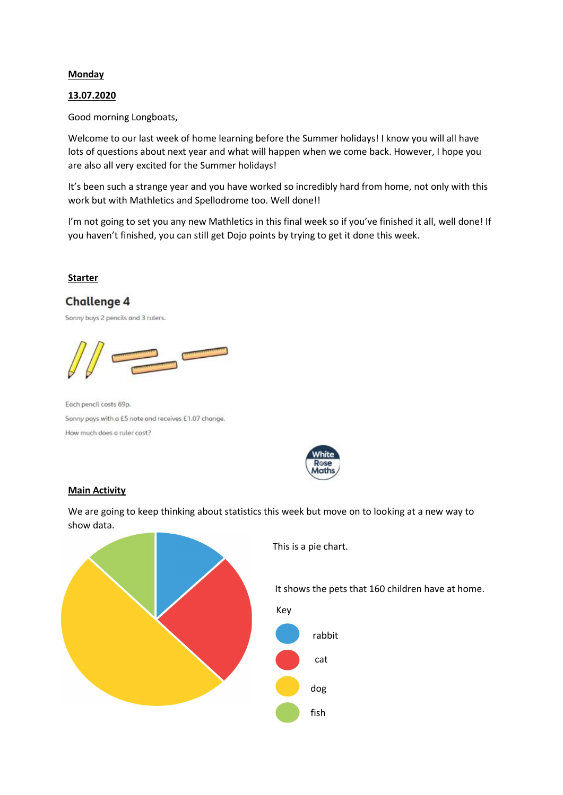#### **Monday**

#### 13.07.2020

Good morning Longboats,

Welcome to our last week of home learning before the Summer holidays! I know you will all have lots of questions about next year and what will happen when we come back. However, I hope you are also all very excited for the Summer holidays!

It's been such a strange year and you have worked so incredibly hard from home, not only with this work but with Mathletics and Spellodrome too. Well done!!

I'm not going to set you any new Mathletics in this final week so if you've finished it all, well done! If you haven't finished, you can still get Dojo points by trying to get it done this week.

## Starter

# **Challenge 4**

Sonny buys 2 pencils and 3 rulers.



Each pencil costs 69p. Sonny pays with a £5 note and receives £1.07 change. How much does a ruler cost?



## Main Activity

We are going to keep thinking about statistics this week but move on to looking at a new way to show data.